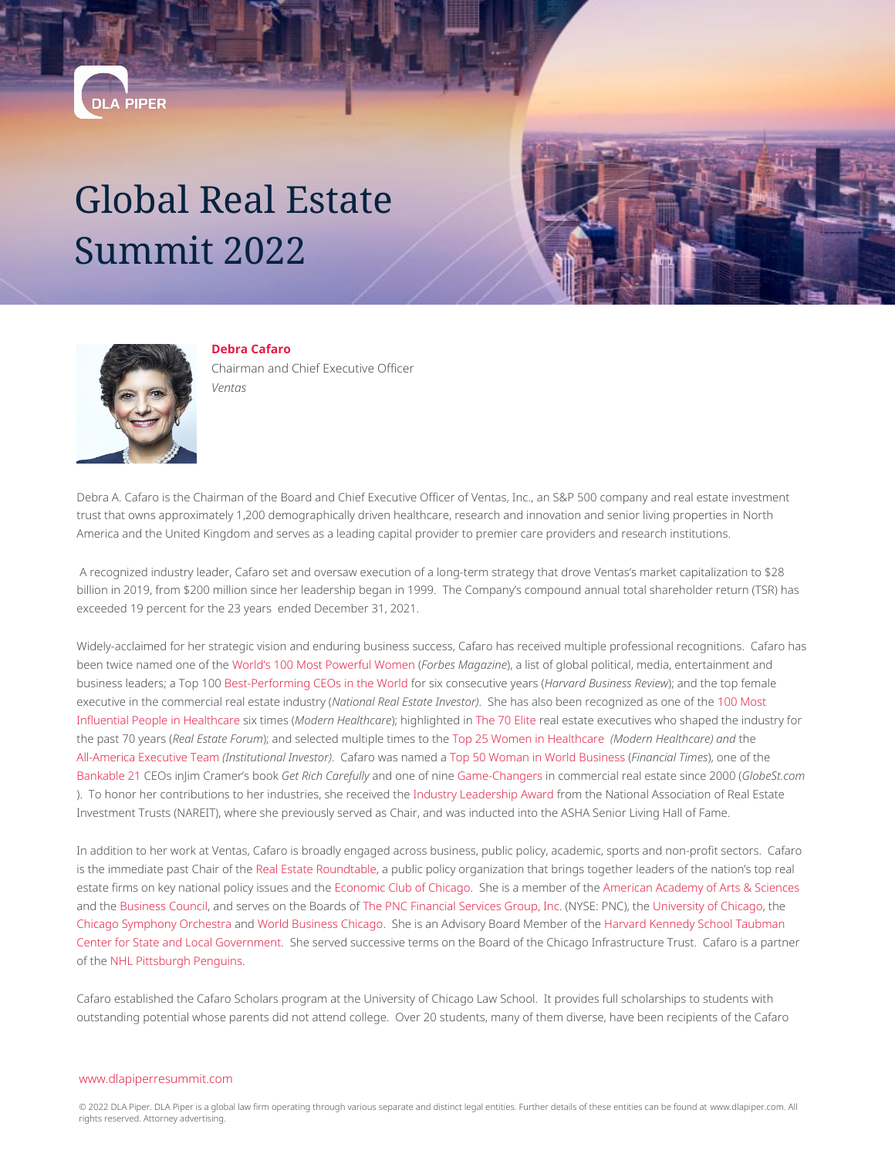## Global Real Estate Summit 2022





**DLA PIPER** 

**Debra Cafaro** Chairman and Chief Executive Officer *Ventas*

Debra A. Cafaro is the Chairman of the Board and Chief Executive Officer of Ventas, Inc., an S&P 500 company and real estate investment trust that owns approximately 1,200 demographically driven healthcare, research and innovation and senior living properties in North America and the United Kingdom and serves as a leading capital provider to premier care providers and research institutions.

A recognized industry leader, Cafaro set and oversaw execution of a long-term strategy that drove Ventas's market capitalization to \$28 billion in 2019, from \$200 million since her leadership began in 1999. The Company's compound annual total shareholder return (TSR) has exceeded 19 percent for the 23 years ended December 31, 2021.

Widely-acclaimed for her strategic vision and enduring business success, Cafaro has received multiple professional recognitions. Cafaro has been twice named one of the [World's 100 Most Powerful Women](https://www.forbes.com/power-women/) (*Forbes Magazine*), a list of global political, media, entertainment and business leaders; a Top 100 [Best-Performing CEOs in the World](https://hbr.org/2016/11/the-best-performing-ceos-in-the-world) for six consecutive years (*Harvard Business Review*); and the top female executive in the commercial real estate industry (*National Real Estate Investor)*. She has also been recognized as one of the [100 Most](http://www.modernhealthcare.com/section/awards-and-recognition?module=900&id=3203870) [Influential People in Healthcare](http://www.modernhealthcare.com/section/awards-and-recognition?module=900&id=3203870) six times (*Modern Healthcare*); highlighted in [The 70 Elite](http://www.reforum-digital.com/reforum/september_2016?pg=31#pg31) real estate executives who shaped the industry for the past 70 years (*Real Estate Forum*); and selected multiple times to the [Top 25 Women in Healthcare](http://www.modernhealthcare.com/community/top-25-women/2017/) *(Modern Healthcare) and* the [All-America Executive Team](http://cdn2.hubspot.net/hubfs/1935726/II%20Magazine) *(Institutional Investor)*. Cafaro was named a [Top 50 Woman in World Business](https://www.ft.com/content/68e02aa0-0f18-11e1-b585-00144feabdc0) (*Financial Times*), one of the [Bankable 21](https://www.thestreet.com/video/12178732/jim-cramer-on-the-21-best-ceos-from-get-rich-carefully.html) CEOs inJim Cramer's book *Get Rich Carefully* and one of nine [Game-Changers](http://www.globest.com/sites/globest/2015/09/03/the-game-changing-people-of-the-past-15-years/) in commercial real estate since 2000 (*GlobeSt.com* ). To honor her contributions to her industries, she received the [Industry Leadership Award](http://www.reit.com/news/articles/debra-cafaro-keith-pauley-receive-reit-industry-awards%3Famp) from the National Association of Real Estate Investment Trusts (NAREIT), where she previously served as Chair, and was inducted into the ASHA Senior Living Hall of Fame.

In addition to her work at Ventas, Cafaro is broadly engaged across business, public policy, academic, sports and non-profit sectors. Cafaro is the immediate past Chair of the [Real Estate Roundtable,](http://www.rer.org/FY2017-Board-of-Directors/) a public policy organization that brings together leaders of the nation's top real estate firms on key national policy issues and the [Economic Club of Chicago.](https://www.econclubchi.org/) She is a member of the [American Academy of Arts & Sciences](https://www.amacad.org/2020-member-announcement) and the [Business Council](http://businesscouncil.com/), and serves on the Boards of [The PNC Financial Services Group, Inc.](http://pnc.mediaroom.com/2017-08-10-PNC-Appoints-Debra-A-Cafaro-To-Board-Of-Directors#assets_129) (NYSE: PNC), the [University of Chicago](https://trustees.uchicago.edu/page/university-trustees), the [Chicago Symphony Orchestra](https://cso.org/globalassets/pdfsshared/cso-trustees-010117.pdf) and [World Business Chicago](http://www.worldbusinesschicago.com/). She is an Advisory Board Member of the [Harvard Kennedy School Taubman](https://www.hks.harvard.edu/centers/taubman) [Center for State and Local Government](https://www.hks.harvard.edu/centers/taubman). She served successive terms on the Board of the Chicago Infrastructure Trust. Cafaro is a partner of the [NHL Pittsburgh Penguins.](https://www.nhl.com/penguins)

Cafaro established the Cafaro Scholars program at the University of Chicago Law School. It provides full scholarships to students with outstanding potential whose parents did not attend college. Over 20 students, many of them diverse, have been recipients of the Cafaro

## [www.dlapiperresummit.com](https://www.dlapiperresummit.com)

© 2022 DLA Piper. DLA Piper is a global law firm operating through various separate and distinct legal entities. Further details of these entities can be found at [www.dlapiper.com](http://www.dlapiper.com). All rights reserved. Attorney advertising.